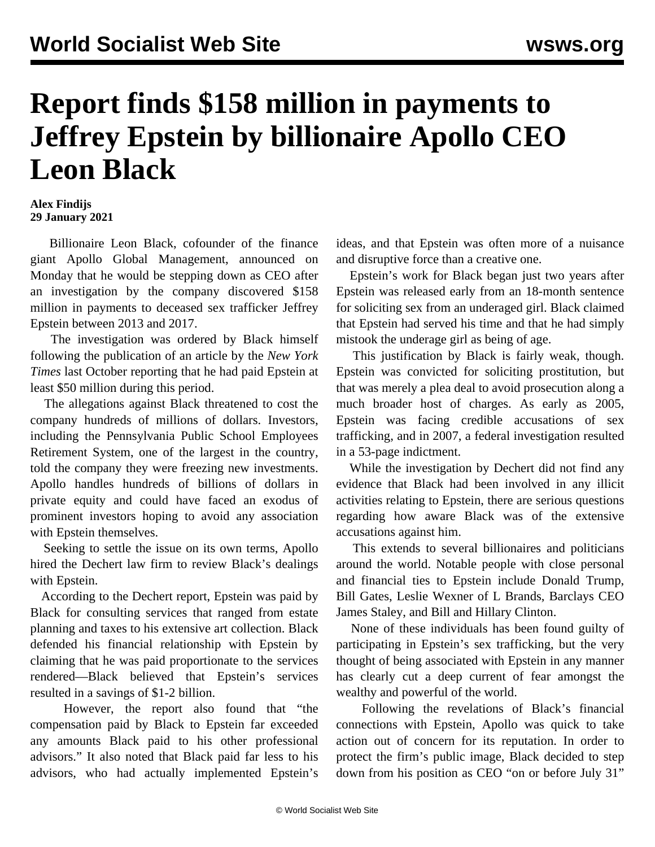## **Report finds \$158 million in payments to Jeffrey Epstein by billionaire Apollo CEO Leon Black**

## **Alex Findijs 29 January 2021**

 Billionaire Leon Black, cofounder of the finance giant Apollo Global Management, announced on Monday that he would be stepping down as CEO after an investigation by the company discovered \$158 million in payments to deceased sex trafficker Jeffrey Epstein between 2013 and 2017.

 The investigation was ordered by Black himself following the publication of an article by the *New York Times* last October reporting that he had paid Epstein at least \$50 million during this period.

 The allegations against Black threatened to cost the company hundreds of millions of dollars. Investors, including the Pennsylvania Public School Employees Retirement System, one of the largest in the country, told the company they were freezing new investments. Apollo handles hundreds of billions of dollars in private equity and could have faced an exodus of prominent investors hoping to avoid any association with Epstein themselves.

 Seeking to settle the issue on its own terms, Apollo hired the Dechert law firm to review Black's dealings with Epstein.

 According to the Dechert report, Epstein was paid by Black for consulting services that ranged from estate planning and taxes to his extensive art collection. Black defended his financial relationship with Epstein by claiming that he was paid proportionate to the services rendered—Black believed that Epstein's services resulted in a savings of \$1-2 billion.

 However, the report also found that "the compensation paid by Black to Epstein far exceeded any amounts Black paid to his other professional advisors." It also noted that Black paid far less to his advisors, who had actually implemented Epstein's

ideas, and that Epstein was often more of a nuisance and disruptive force than a creative one.

 Epstein's work for Black began just two years after Epstein was released early from an 18-month sentence for soliciting sex from an underaged girl. Black claimed that Epstein had served his time and that he had simply mistook the underage girl as being of age.

 This justification by Black is fairly weak, though. Epstein was convicted for soliciting prostitution, but that was merely a plea deal to avoid prosecution along a much broader host of charges. As early as 2005, Epstein was facing credible accusations of sex trafficking, and in 2007, a federal investigation resulted in a 53-page indictment.

 While the investigation by Dechert did not find any evidence that Black had been involved in any illicit activities relating to Epstein, there are serious questions regarding how aware Black was of the extensive accusations against him.

 This extends to several billionaires and politicians around the world. Notable people with close personal and financial ties to Epstein include Donald Trump, Bill Gates, Leslie Wexner of L Brands, Barclays CEO James Staley, and Bill and Hillary Clinton.

 None of these individuals has been found guilty of participating in Epstein's sex trafficking, but the very thought of being associated with Epstein in any manner has clearly cut a deep current of fear amongst the wealthy and powerful of the world.

 Following the revelations of Black's financial connections with Epstein, Apollo was quick to take action out of concern for its reputation. In order to protect the firm's public image, Black decided to step down from his position as CEO "on or before July 31"